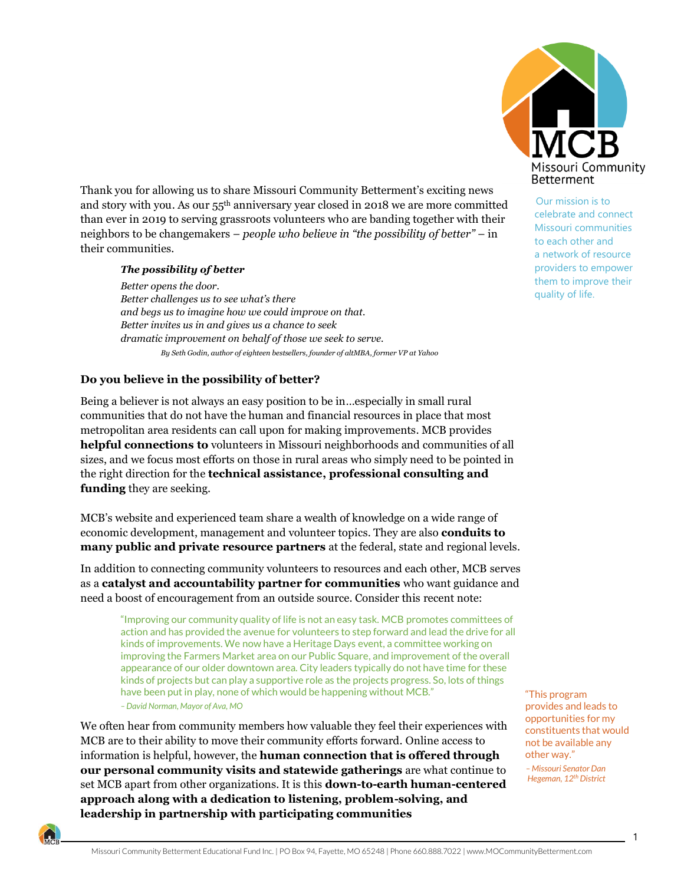Thank you for allowing us to share Missouri Community Betterment's exciting news and story with you. As our 55th anniversary year closed in 2018 we are more committed than ever in 2019 to serving grassroots volunteers who are banding together with their neighbors to be changemakers – *people who believe in "the possibility of better"* – in their communities.

## *The possibility of better*

*Better opens the door. Better challenges us to see what's there and begs us to imagine how we could improve on that. Better invites us in and gives us a chance to seek dramatic improvement on behalf of those we seek to serve. By Seth Godin, author of eighteen bestsellers, founder of altMBA, former VP at Yahoo*

## **Do you believe in the possibility of better?**

Being a believer is not always an easy position to be in…especially in small rural communities that do not have the human and financial resources in place that most metropolitan area residents can call upon for making improvements. MCB provides **helpful connections to** volunteers in Missouri neighborhoods and communities of all sizes, and we focus most efforts on those in rural areas who simply need to be pointed in the right direction for the **technical assistance, professional consulting and funding** they are seeking.

MCB's website and experienced team share a wealth of knowledge on a wide range of economic development, management and volunteer topics. They are also **conduits to many public and private resource partners** at the federal, state and regional levels.

In addition to connecting community volunteers to resources and each other, MCB serves as a **catalyst and accountability partner for communities** who want guidance and need a boost of encouragement from an outside source. Consider this recent note:

"Improving our community quality of life is not an easy task. MCB promotes committees of action and has provided the avenue for volunteers to step forward and lead the drive for all kinds of improvements. We now have a Heritage Days event, a committee working on improving the Farmers Market area on our Public Square, and improvement of the overall appearance of our older downtown area. City leaders typically do not have time for these kinds of projects but can play a supportive role as the projects progress. So, lots of things have been put in play, none of which would be happening without MCB." *–David Norman, Mayor of Ava, MO*

We often hear from community members how valuable they feel their experiences with MCB are to their ability to move their community efforts forward. Online access to information is helpful, however, the **human connection that is offered through our personal community visits and statewide gatherings** are what continue to set MCB apart from other organizations. It is this **down-to-earth human-centered approach along with a dedication to listening, problem-solving, and leadership in partnership with participating communities** 



Our mission is to celebrate and connect Missouri communities to each other and a network of resource providers to empower them to improve their quality of life.

 "This program provides and leads to opportunities for my constituents that would not be available any other way."

 *– Missouri Senator Dan Hegeman, 12th District*

1